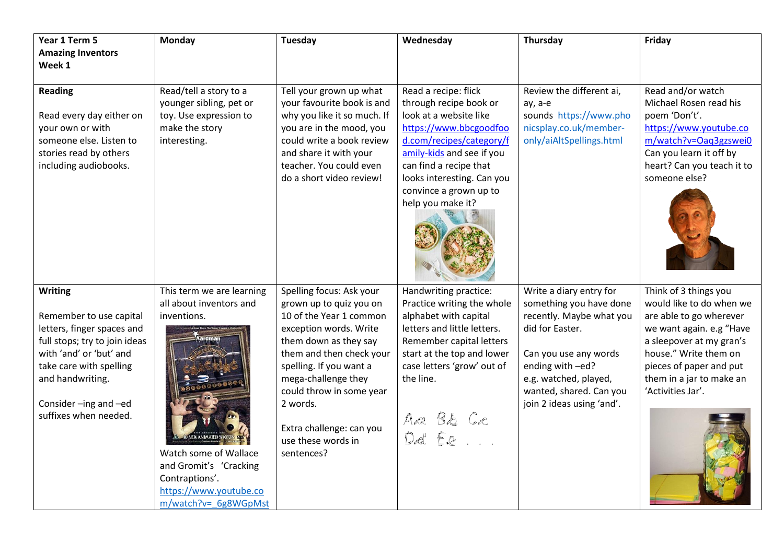| Year 1 Term 5                                                                                                                                                                                                                      | <b>Monday</b>                                                                                                                                                                              | <b>Tuesday</b>                                                                                                                                                                                                                                                                                                          | Wednesday                                                                                                                                                                                                                                                          | Thursday                                                                                                                                                                                                                        | Friday                                                                                                                                                                                                                                    |
|------------------------------------------------------------------------------------------------------------------------------------------------------------------------------------------------------------------------------------|--------------------------------------------------------------------------------------------------------------------------------------------------------------------------------------------|-------------------------------------------------------------------------------------------------------------------------------------------------------------------------------------------------------------------------------------------------------------------------------------------------------------------------|--------------------------------------------------------------------------------------------------------------------------------------------------------------------------------------------------------------------------------------------------------------------|---------------------------------------------------------------------------------------------------------------------------------------------------------------------------------------------------------------------------------|-------------------------------------------------------------------------------------------------------------------------------------------------------------------------------------------------------------------------------------------|
| <b>Amazing Inventors</b>                                                                                                                                                                                                           |                                                                                                                                                                                            |                                                                                                                                                                                                                                                                                                                         |                                                                                                                                                                                                                                                                    |                                                                                                                                                                                                                                 |                                                                                                                                                                                                                                           |
| Week 1                                                                                                                                                                                                                             |                                                                                                                                                                                            |                                                                                                                                                                                                                                                                                                                         |                                                                                                                                                                                                                                                                    |                                                                                                                                                                                                                                 |                                                                                                                                                                                                                                           |
| <b>Reading</b><br>Read every day either on<br>your own or with<br>someone else. Listen to<br>stories read by others<br>including audiobooks.                                                                                       | Read/tell a story to a<br>younger sibling, pet or<br>toy. Use expression to<br>make the story<br>interesting.                                                                              | Tell your grown up what<br>your favourite book is and<br>why you like it so much. If<br>you are in the mood, you<br>could write a book review<br>and share it with your<br>teacher. You could even<br>do a short video review!                                                                                          | Read a recipe: flick<br>through recipe book or<br>look at a website like<br>https://www.bbcgoodfoo<br>d.com/recipes/category/f<br>amily-kids and see if you<br>can find a recipe that<br>looks interesting. Can you<br>convince a grown up to<br>help you make it? | Review the different ai,<br>ay, a-e<br>sounds https://www.pho<br>nicsplay.co.uk/member-<br>only/aiAltSpellings.html                                                                                                             | Read and/or watch<br>Michael Rosen read his<br>poem 'Don't'.<br>https://www.youtube.co<br>m/watch?v=Oaq3gzswei0<br>Can you learn it off by<br>heart? Can you teach it to<br>someone else?                                                 |
| <b>Writing</b><br>Remember to use capital<br>letters, finger spaces and<br>full stops; try to join ideas<br>with 'and' or 'but' and<br>take care with spelling<br>and handwriting.<br>Consider-ing and-ed<br>suffixes when needed. | This term we are learning<br>all about inventors and<br>inventions.<br>Watch some of Wallace<br>and Gromit's 'Cracking<br>Contraptions'.<br>https://www.youtube.co<br>m/watch?v= 6g8WGpMst | Spelling focus: Ask your<br>grown up to quiz you on<br>10 of the Year 1 common<br>exception words. Write<br>them down as they say<br>them and then check your<br>spelling. If you want a<br>mega-challenge they<br>could throw in some year<br>2 words.<br>Extra challenge: can you<br>use these words in<br>sentences? | Handwriting practice:<br>Practice writing the whole<br>alphabet with capital<br>letters and little letters.<br>Remember capital letters<br>start at the top and lower<br>case letters 'grow' out of<br>the line.<br>Aa Bb Ce<br>Dd Ee                              | Write a diary entry for<br>something you have done<br>recently. Maybe what you<br>did for Easter.<br>Can you use any words<br>ending with -ed?<br>e.g. watched, played,<br>wanted, shared. Can you<br>join 2 ideas using 'and'. | Think of 3 things you<br>would like to do when we<br>are able to go wherever<br>we want again. e.g "Have<br>a sleepover at my gran's<br>house." Write them on<br>pieces of paper and put<br>them in a jar to make an<br>'Activities Jar'. |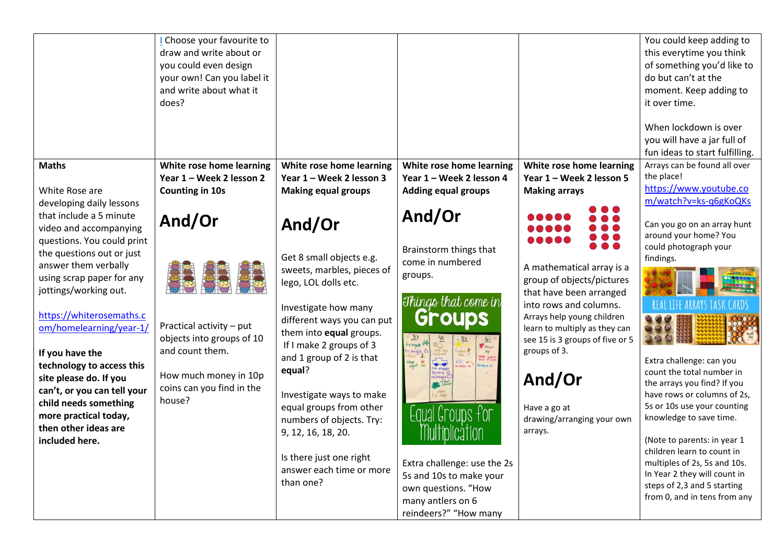|                                                                                                                                                                                                                                                                                                                                                                                                                                                        | Choose your favourite to<br>draw and write about or<br>you could even design<br>your own! Can you label it<br>and write about what it<br>does?     |                                                                                                                                                                                                                                                                                                                                                                                                                         |                                                                                                                                                                                                                                                                                                                                                                                                                   |                                                                                                                                                                                                                                                                                                                                | You could keep adding to<br>this everytime you think<br>of something you'd like to<br>do but can't at the<br>moment. Keep adding to<br>it over time.<br>When lockdown is over<br>you will have a jar full of                                                                                                                                                                                                                                                            |
|--------------------------------------------------------------------------------------------------------------------------------------------------------------------------------------------------------------------------------------------------------------------------------------------------------------------------------------------------------------------------------------------------------------------------------------------------------|----------------------------------------------------------------------------------------------------------------------------------------------------|-------------------------------------------------------------------------------------------------------------------------------------------------------------------------------------------------------------------------------------------------------------------------------------------------------------------------------------------------------------------------------------------------------------------------|-------------------------------------------------------------------------------------------------------------------------------------------------------------------------------------------------------------------------------------------------------------------------------------------------------------------------------------------------------------------------------------------------------------------|--------------------------------------------------------------------------------------------------------------------------------------------------------------------------------------------------------------------------------------------------------------------------------------------------------------------------------|-------------------------------------------------------------------------------------------------------------------------------------------------------------------------------------------------------------------------------------------------------------------------------------------------------------------------------------------------------------------------------------------------------------------------------------------------------------------------|
| <b>Maths</b><br>White Rose are<br>developing daily lessons                                                                                                                                                                                                                                                                                                                                                                                             | White rose home learning<br>Year 1 - Week 2 lesson 2<br><b>Counting in 10s</b>                                                                     | White rose home learning<br>Year 1 - Week 2 lesson 3<br><b>Making equal groups</b>                                                                                                                                                                                                                                                                                                                                      | White rose home learning<br>Year 1 - Week 2 lesson 4<br><b>Adding equal groups</b>                                                                                                                                                                                                                                                                                                                                | White rose home learning<br>Year 1 - Week 2 lesson 5<br><b>Making arrays</b>                                                                                                                                                                                                                                                   | fun ideas to start fulfilling.<br>Arrays can be found all over<br>the place!<br>https://www.youtube.co<br>m/watch?v=ks-q6gKoQKs                                                                                                                                                                                                                                                                                                                                         |
| that include a 5 minute<br>video and accompanying<br>questions. You could print<br>the questions out or just<br>answer them verbally<br>using scrap paper for any<br>jottings/working out.<br>https://whiterosemaths.c<br>om/homelearning/year-1/<br>If you have the<br>technology to access this<br>site please do. If you<br>can't, or you can tell your<br>child needs something<br>more practical today,<br>then other ideas are<br>included here. | And/Or<br>Practical activity - put<br>objects into groups of 10<br>and count them.<br>How much money in 10p<br>coins can you find in the<br>house? | And/Or<br>Get 8 small objects e.g.<br>sweets, marbles, pieces of<br>lego, LOL dolls etc.<br>Investigate how many<br>different ways you can put<br>them into equal groups.<br>If I make 2 groups of 3<br>and 1 group of 2 is that<br>equal?<br>Investigate ways to make<br>equal groups from other<br>numbers of objects. Try:<br>9, 12, 16, 18, 20.<br>Is there just one right<br>answer each time or more<br>than one? | And/Or<br>Brainstorm things that<br>come in numbered<br>groups.<br>Things that come in<br><b>Groups</b><br>$\overline{3}$ ;<br>tricycle of<br>iangle $\triangle$<br><b>DD</b> & Sode<br>Cor wheel<br>$rac{1}{1 + \frac{1}{1 + \frac{1}{1}} \cdot \frac{1}{1}}$<br>Equal Groups for<br>Extra challenge: use the 2s<br>5s and 10s to make your<br>own questions. "How<br>many antlers on 6<br>reindeers?" "How many | 8 8 8 8 4<br>8 8 8 8 6<br><br>A mathematical array is a<br>group of objects/pictures<br>that have been arranged<br>into rows and columns.<br>Arrays help young children<br>learn to multiply as they can<br>see 15 is 3 groups of five or 5<br>groups of 3.<br>And/Or<br>Have a go at<br>drawing/arranging your own<br>arrays. | Can you go on an array hunt<br>around your home? You<br>could photograph your<br>findings.<br>Extra challenge: can you<br>count the total number in<br>the arrays you find? If you<br>have rows or columns of 2s,<br>5s or 10s use your counting<br>knowledge to save time.<br>(Note to parents: in year 1<br>children learn to count in<br>multiples of 2s, 5s and 10s.<br>In Year 2 they will count in<br>steps of 2,3 and 5 starting<br>from 0, and in tens from any |